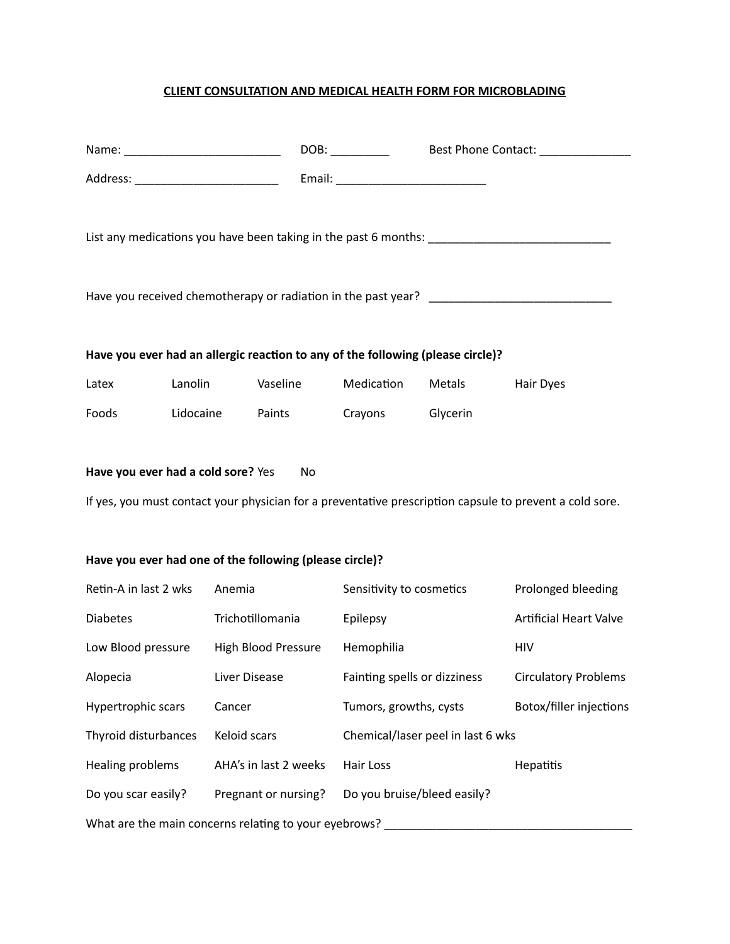# **CLIENT CONSULTATION AND MEDICAL HEALTH FORM FOR MICROBLADING**

|                                                                                                                                                     |           |                                                         | DOB: __________              | Best Phone Contact: _____________ |                               |  |  |
|-----------------------------------------------------------------------------------------------------------------------------------------------------|-----------|---------------------------------------------------------|------------------------------|-----------------------------------|-------------------------------|--|--|
|                                                                                                                                                     |           |                                                         |                              |                                   |                               |  |  |
| List any medications you have been taking in the past 6 months: ___________________________________                                                 |           |                                                         |                              |                                   |                               |  |  |
|                                                                                                                                                     |           |                                                         |                              |                                   |                               |  |  |
| Have you ever had an allergic reaction to any of the following (please circle)?                                                                     |           |                                                         |                              |                                   |                               |  |  |
| Latex                                                                                                                                               | Lanolin   | Vaseline                                                | Medication                   | Metals                            | <b>Hair Dyes</b>              |  |  |
| Foods                                                                                                                                               | Lidocaine | <b>Paints</b>                                           | Crayons Glycerin             |                                   |                               |  |  |
| Have you ever had a cold sore? Yes<br>No<br>If yes, you must contact your physician for a preventative prescription capsule to prevent a cold sore. |           |                                                         |                              |                                   |                               |  |  |
|                                                                                                                                                     |           | Have you ever had one of the following (please circle)? |                              |                                   |                               |  |  |
| Retin-A in last 2 wks                                                                                                                               |           | Anemia                                                  | Sensitivity to cosmetics     |                                   | Prolonged bleeding            |  |  |
| <b>Diabetes</b>                                                                                                                                     |           | Trichotillomania                                        | Epilepsy                     |                                   | <b>Artificial Heart Valve</b> |  |  |
| Low Blood pressure                                                                                                                                  |           | High Blood Pressure                                     | Hemophilia                   |                                   | HIV                           |  |  |
| Alopecia                                                                                                                                            |           | Liver Disease                                           | Fainting spells or dizziness |                                   | <b>Circulatory Problems</b>   |  |  |
| Hypertrophic scars                                                                                                                                  |           | Cancer                                                  | Tumors, growths, cysts       |                                   | Botox/filler injections       |  |  |
| Thyroid disturbances                                                                                                                                |           | Keloid scars                                            |                              | Chemical/laser peel in last 6 wks |                               |  |  |
| Healing problems                                                                                                                                    |           | AHA's in last 2 weeks                                   | Hair Loss                    |                                   | Hepatitis                     |  |  |
| Do you scar easily?                                                                                                                                 |           | Pregnant or nursing?                                    | Do you bruise/bleed easily?  |                                   |                               |  |  |
|                                                                                                                                                     |           | What are the main concerns relating to your eyebrows?   |                              |                                   |                               |  |  |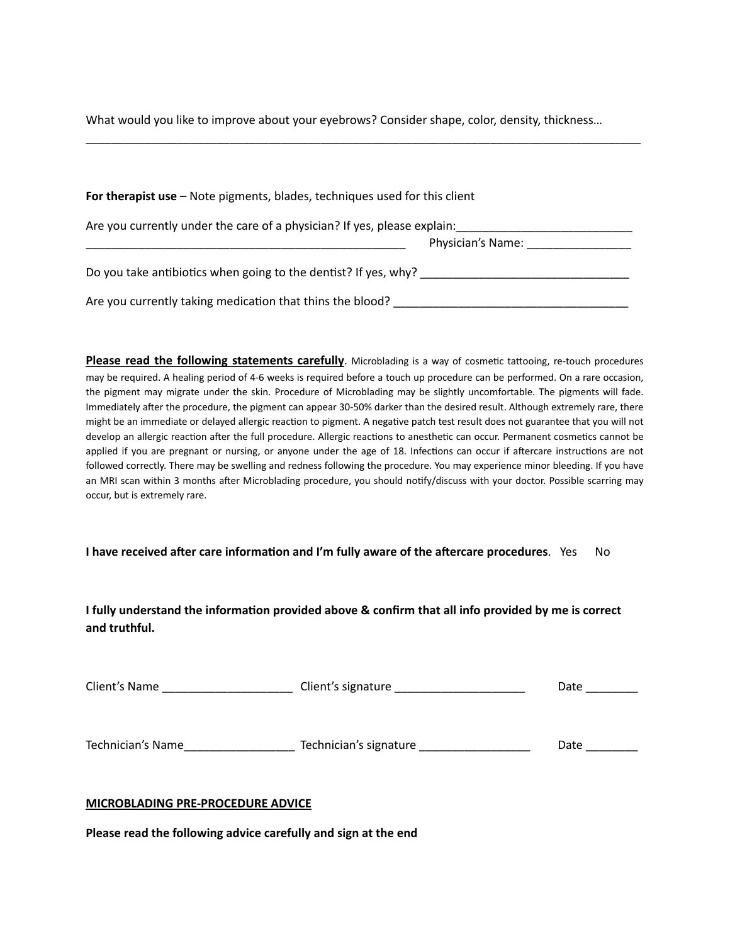What would you like to improve about your eyebrows? Consider shape, color, density, thickness…

\_\_\_\_\_\_\_\_\_\_\_\_\_\_\_\_\_\_\_\_\_\_\_\_\_\_\_\_\_\_\_\_\_\_\_\_\_\_\_\_\_\_\_\_\_\_\_\_\_\_\_\_\_\_\_\_\_\_\_\_\_\_\_\_\_\_\_\_\_\_\_\_\_\_\_\_\_\_\_\_\_\_\_\_\_

| For therapist use - Note pigments, blades, techniques used for this client |                   |  |  |  |
|----------------------------------------------------------------------------|-------------------|--|--|--|
| Are you currently under the care of a physician? If yes, please explain:   |                   |  |  |  |
|                                                                            | Physician's Name: |  |  |  |
| Do you take antibiotics when going to the dentist? If yes, why?            |                   |  |  |  |
| Are you currently taking medication that thins the blood?                  |                   |  |  |  |

**Please read the following statements carefully**. Microblading is a way of cosmetic tattooing, re-touch procedures may be required. A healing period of 4-6 weeks is required before a touch up procedure can be performed. On a rare occasion, the pigment may migrate under the skin. Procedure of Microblading may be slightly uncomfortable. The pigments will fade. Immediately after the procedure, the pigment can appear 30-50% darker than the desired result. Although extremely rare, there might be an immediate or delayed allergic reaction to pigment. A negative patch test result does not guarantee that you will not develop an allergic reaction after the full procedure. Allergic reactions to anesthetic can occur. Permanent cosmetics cannot be applied if you are pregnant or nursing, or anyone under the age of 18. Infections can occur if aftercare instructions are not followed correctly. There may be swelling and redness following the procedure. You may experience minor bleeding. If you have an MRI scan within 3 months after Microblading procedure, you should notify/discuss with your doctor. Possible scarring may occur, but is extremely rare.

**I have received after care information and I'm fully aware of the aftercare procedures.** Yes No

**I** fully understand the information provided above & confirm that all info provided by me is correct **and truthful.** 

| Client's Name     | Client's signature     | Date |
|-------------------|------------------------|------|
| Technician's Name | Technician's signature | Date |

#### **MICROBLADING PRE-PROCEDURE ADVICE**

**Please read the following advice carefully and sign at the end**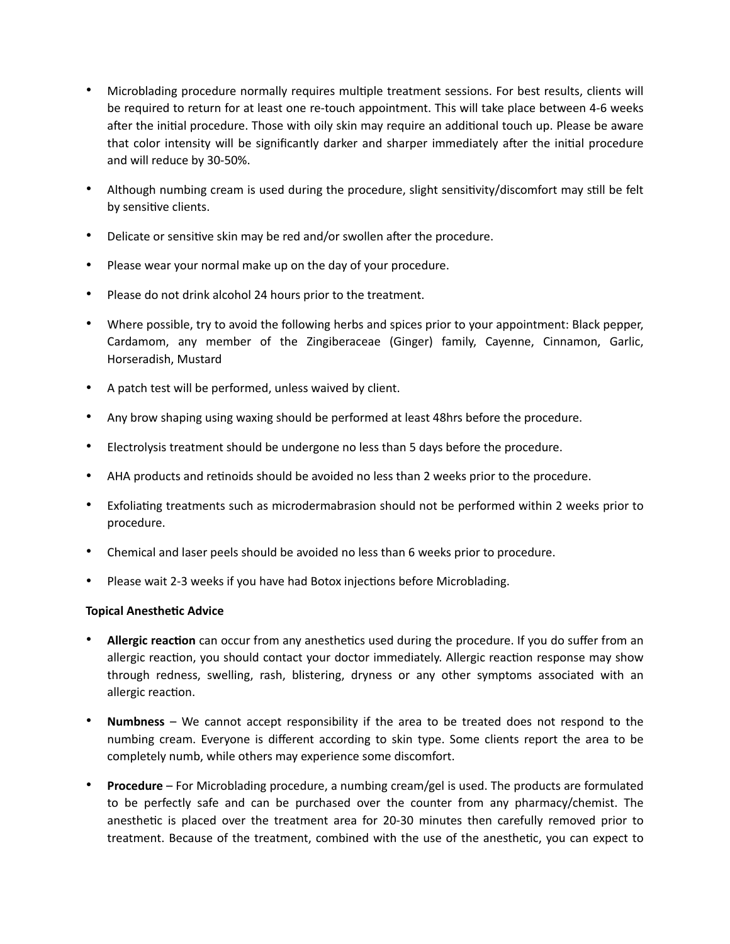- Microblading procedure normally requires multiple treatment sessions. For best results, clients will be required to return for at least one re-touch appointment. This will take place between 4-6 weeks after the initial procedure. Those with oily skin may require an additional touch up. Please be aware that color intensity will be significantly darker and sharper immediately after the initial procedure and will reduce by 30-50%.
- Although numbing cream is used during the procedure, slight sensitivity/discomfort may still be felt by sensitive clients.
- Delicate or sensitive skin may be red and/or swollen after the procedure.
- Please wear your normal make up on the day of your procedure.
- Please do not drink alcohol 24 hours prior to the treatment.
- Where possible, try to avoid the following herbs and spices prior to your appointment: Black pepper, Cardamom, any member of the Zingiberaceae (Ginger) family, Cayenne, Cinnamon, Garlic, Horseradish, Mustard
- A patch test will be performed, unless waived by client.
- Any brow shaping using waxing should be performed at least 48hrs before the procedure.
- Electrolysis treatment should be undergone no less than 5 days before the procedure.
- AHA products and retinoids should be avoided no less than 2 weeks prior to the procedure.
- Exfoliating treatments such as microdermabrasion should not be performed within 2 weeks prior to procedure.
- Chemical and laser peels should be avoided no less than 6 weeks prior to procedure.
- Please wait 2-3 weeks if you have had Botox injections before Microblading.

# **Topical Anesthetic Advice**

- Allergic reaction can occur from any anesthetics used during the procedure. If you do suffer from an allergic reaction, you should contact your doctor immediately. Allergic reaction response may show through redness, swelling, rash, blistering, dryness or any other symptoms associated with an allergic reaction.
- **Numbness** We cannot accept responsibility if the area to be treated does not respond to the numbing cream. Everyone is different according to skin type. Some clients report the area to be completely numb, while others may experience some discomfort.
- **Procedure** For Microblading procedure, a numbing cream/gel is used. The products are formulated to be perfectly safe and can be purchased over the counter from any pharmacy/chemist. The anesthetic is placed over the treatment area for 20-30 minutes then carefully removed prior to treatment. Because of the treatment, combined with the use of the anesthetic, you can expect to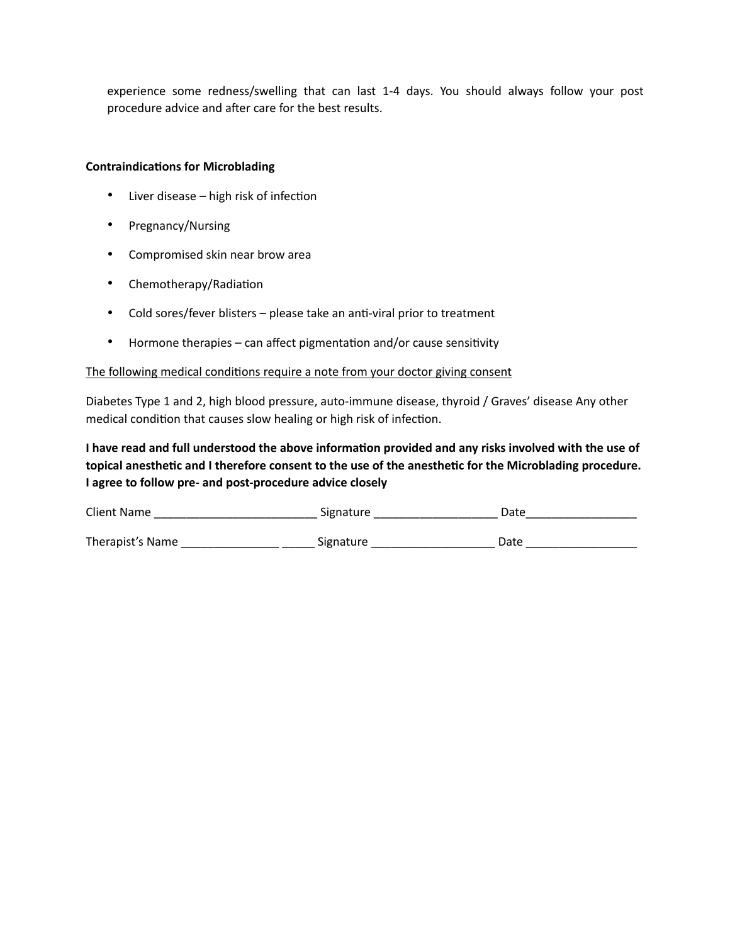experience some redness/swelling that can last 1-4 days. You should always follow your post procedure advice and after care for the best results.

### **Contraindications for Microblading**

- $\bullet$  Liver disease high risk of infection
- Pregnancy/Nursing
- Compromised skin near brow area
- Chemotherapy/Radiation
- Cold sores/fever blisters please take an anti-viral prior to treatment
- Hormone therapies  $-$  can affect pigmentation and/or cause sensitivity

### The following medical conditions require a note from your doctor giving consent

Diabetes Type 1 and 2, high blood pressure, auto-immune disease, thyroid / Graves' disease Any other medical condition that causes slow healing or high risk of infection.

I have read and full understood the above information provided and any risks involved with the use of topical anesthetic and I therefore consent to the use of the anesthetic for the Microblading procedure. **I agree to follow pre- and post-procedure advice closely** 

| Client Name      | Signature | Date |  |
|------------------|-----------|------|--|
| Therapist's Name | Signature | Date |  |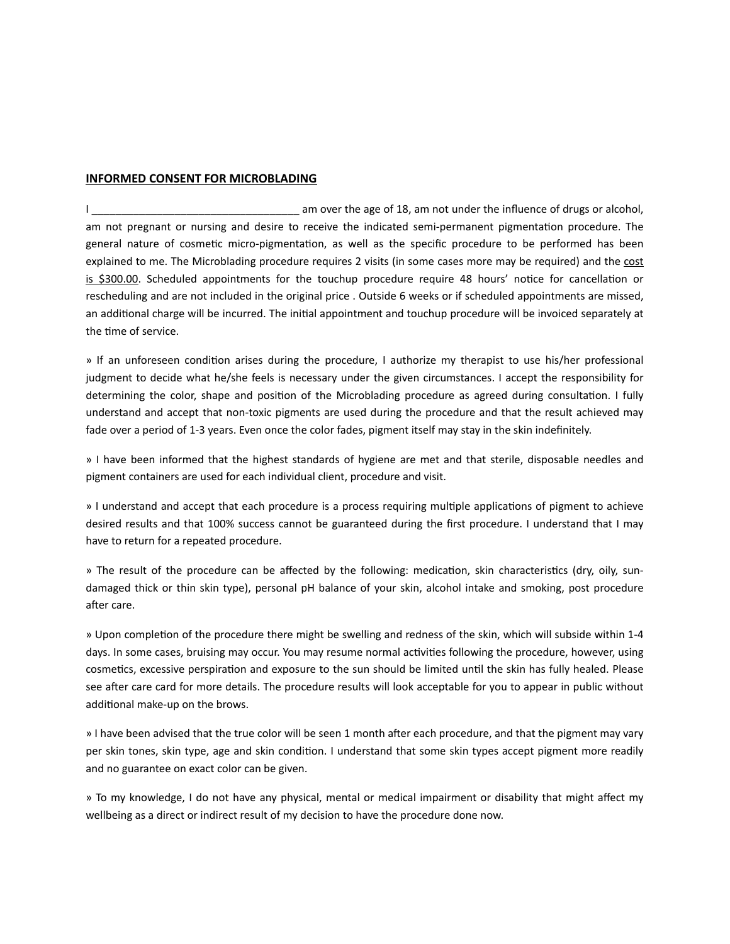#### **INFORMED CONSENT FOR MICROBLADING**

I \_\_\_\_\_\_\_\_\_\_\_\_\_\_\_\_\_\_\_\_\_\_\_\_\_\_\_\_\_\_\_\_\_\_\_ am over the age of 18, am not under the influence of drugs or alcohol, am not pregnant or nursing and desire to receive the indicated semi-permanent pigmentation procedure. The general nature of cosmetic micro-pigmentation, as well as the specific procedure to be performed has been explained to me. The Microblading procedure requires 2 visits (in some cases more may be required) and the cost is \$300.00. Scheduled appointments for the touchup procedure require 48 hours' notice for cancellation or rescheduling and are not included in the original price . Outside 6 weeks or if scheduled appointments are missed, an additional charge will be incurred. The initial appointment and touchup procedure will be invoiced separately at the time of service.

» If an unforeseen condition arises during the procedure, I authorize my therapist to use his/her professional judgment to decide what he/she feels is necessary under the given circumstances. I accept the responsibility for determining the color, shape and position of the Microblading procedure as agreed during consultation. I fully understand and accept that non-toxic pigments are used during the procedure and that the result achieved may fade over a period of 1-3 years. Even once the color fades, pigment itself may stay in the skin indefinitely.

» I have been informed that the highest standards of hygiene are met and that sterile, disposable needles and pigment containers are used for each individual client, procedure and visit.

» I understand and accept that each procedure is a process requiring multiple applications of pigment to achieve desired results and that 100% success cannot be guaranteed during the first procedure. I understand that I may have to return for a repeated procedure.

» The result of the procedure can be affected by the following: medication, skin characteristics (dry, oily, sundamaged thick or thin skin type), personal pH balance of your skin, alcohol intake and smoking, post procedure after care.

» Upon completion of the procedure there might be swelling and redness of the skin, which will subside within 1-4 days. In some cases, bruising may occur. You may resume normal activities following the procedure, however, using cosmetics, excessive perspiration and exposure to the sun should be limited until the skin has fully healed. Please see after care card for more details. The procedure results will look acceptable for you to appear in public without additional make-up on the brows.

» I have been advised that the true color will be seen 1 month after each procedure, and that the pigment may vary per skin tones, skin type, age and skin condition. I understand that some skin types accept pigment more readily and no guarantee on exact color can be given.

» To my knowledge, I do not have any physical, mental or medical impairment or disability that might affect my wellbeing as a direct or indirect result of my decision to have the procedure done now.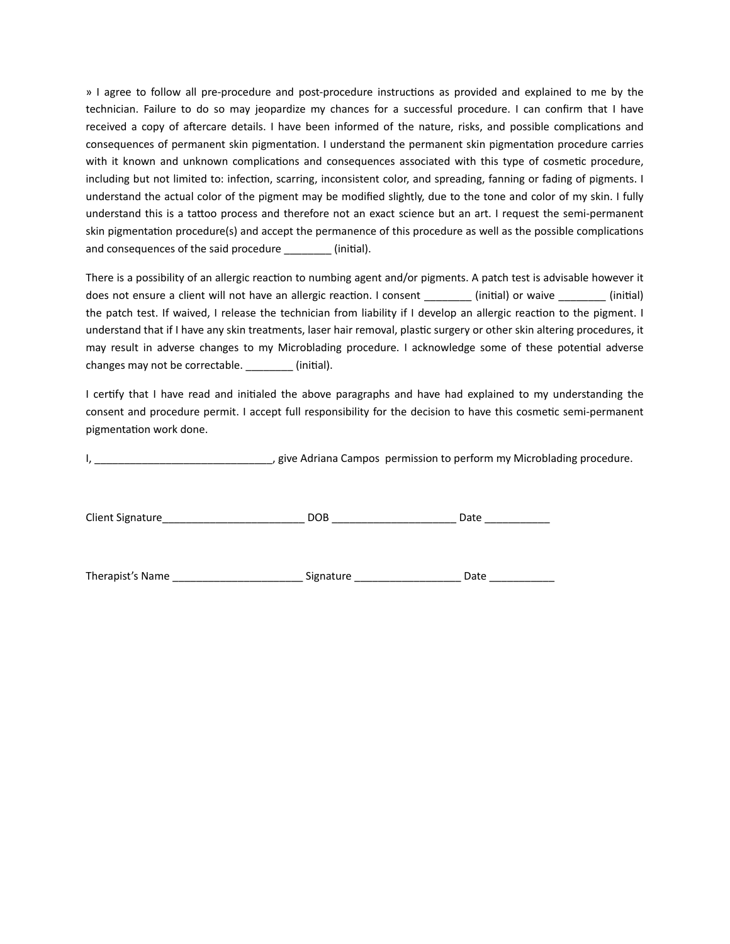» I agree to follow all pre-procedure and post-procedure instructions as provided and explained to me by the technician. Failure to do so may jeopardize my chances for a successful procedure. I can confirm that I have received a copy of aftercare details. I have been informed of the nature, risks, and possible complications and consequences of permanent skin pigmentation. I understand the permanent skin pigmentation procedure carries with it known and unknown complications and consequences associated with this type of cosmetic procedure, including but not limited to: infection, scarring, inconsistent color, and spreading, fanning or fading of pigments. I understand the actual color of the pigment may be modified slightly, due to the tone and color of my skin. I fully understand this is a tattoo process and therefore not an exact science but an art. I request the semi-permanent skin pigmentation procedure(s) and accept the permanence of this procedure as well as the possible complications and consequences of the said procedure (initial).

There is a possibility of an allergic reaction to numbing agent and/or pigments. A patch test is advisable however it does not ensure a client will not have an allergic reaction. I consent \_\_\_\_\_\_\_\_ (initial) or waive \_\_\_\_\_\_\_ (initial) the patch test. If waived, I release the technician from liability if I develop an allergic reaction to the pigment. I understand that if I have any skin treatments, laser hair removal, plastic surgery or other skin altering procedures, it may result in adverse changes to my Microblading procedure. I acknowledge some of these potential adverse changes may not be correctable. \_\_\_\_\_\_\_\_ (initial).

I certify that I have read and initialed the above paragraphs and have had explained to my understanding the consent and procedure permit. I accept full responsibility for the decision to have this cosmetic semi-permanent pigmentation work done.

I, \_\_\_\_\_\_\_\_\_\_\_\_\_\_\_\_\_\_\_\_\_\_\_\_\_\_\_\_\_\_, give Adriana Campos permission to perform my Microblading procedure.

| <b>Client Signature</b> |  |  |  |
|-------------------------|--|--|--|
|                         |  |  |  |

Therapist's Name \_\_\_\_\_\_\_\_\_\_\_\_\_\_\_\_\_\_\_\_\_\_\_\_\_\_\_\_\_\_\_Signature \_\_\_\_\_\_\_\_\_\_\_\_\_\_\_\_\_\_\_\_\_\_\_\_\_\_Date \_\_\_\_\_\_\_\_\_\_\_\_\_\_\_\_\_\_\_\_\_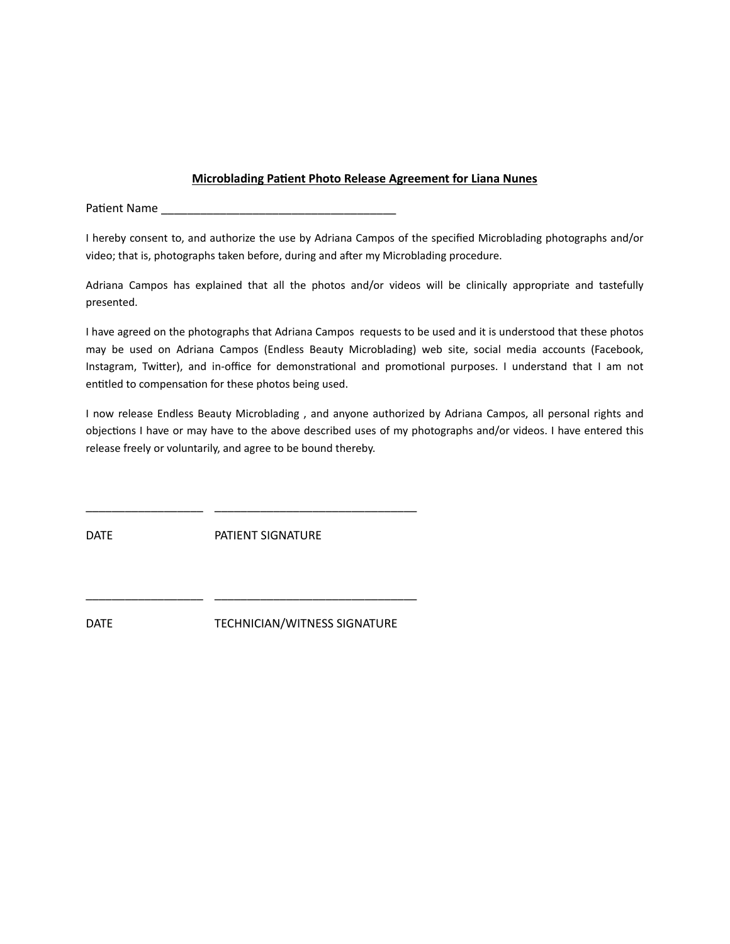## **Microblading Patient Photo Release Agreement for Liana Nunes**

Patient Name

I hereby consent to, and authorize the use by Adriana Campos of the specified Microblading photographs and/or video; that is, photographs taken before, during and after my Microblading procedure.

Adriana Campos has explained that all the photos and/or videos will be clinically appropriate and tastefully presented.

I have agreed on the photographs that Adriana Campos requests to be used and it is understood that these photos may be used on Adriana Campos (Endless Beauty Microblading) web site, social media accounts (Facebook, Instagram, Twitter), and in-office for demonstrational and promotional purposes. I understand that I am not entitled to compensation for these photos being used.

I now release Endless Beauty Microblading , and anyone authorized by Adriana Campos, all personal rights and objections I have or may have to the above described uses of my photographs and/or videos. I have entered this release freely or voluntarily, and agree to be bound thereby.

DATE PATIENT SIGNATURE

\_\_\_\_\_\_\_\_\_\_\_\_\_\_\_\_\_\_ \_\_\_\_\_\_\_\_\_\_\_\_\_\_\_\_\_\_\_\_\_\_\_\_\_\_\_\_\_\_\_

\_\_\_\_\_\_\_\_\_\_\_\_\_\_\_\_\_\_ \_\_\_\_\_\_\_\_\_\_\_\_\_\_\_\_\_\_\_\_\_\_\_\_\_\_\_\_\_\_\_

DATE TECHNICIAN/WITNESS SIGNATURE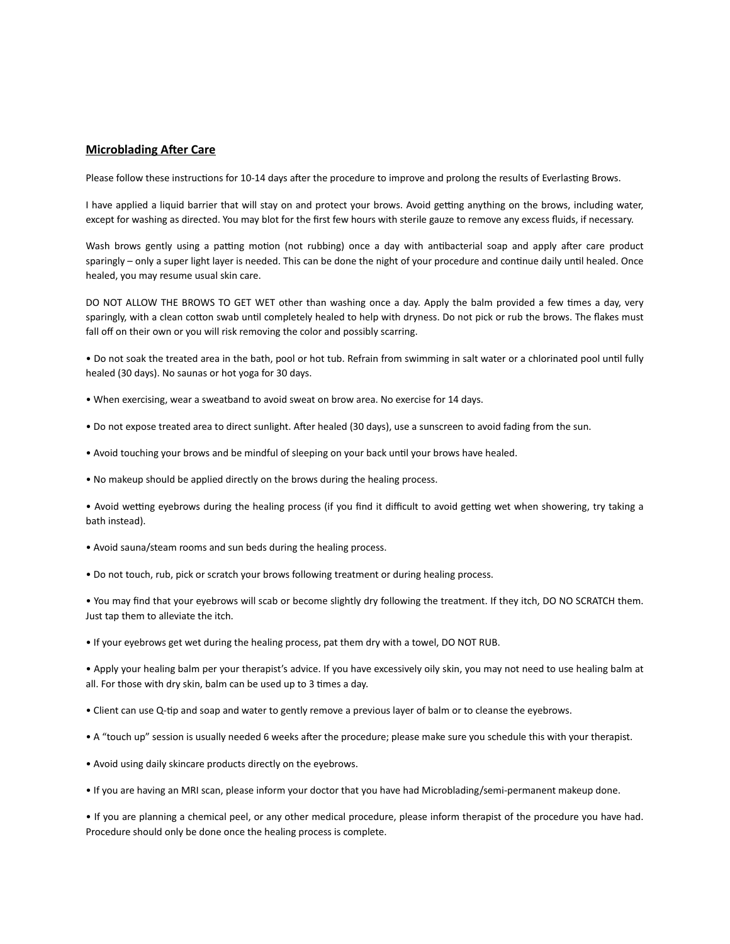#### **Microblading After Care**

Please follow these instructions for 10-14 days after the procedure to improve and prolong the results of Everlasting Brows.

I have applied a liquid barrier that will stay on and protect your brows. Avoid getting anything on the brows, including water, except for washing as directed. You may blot for the first few hours with sterile gauze to remove any excess fluids, if necessary.

Wash brows gently using a patting motion (not rubbing) once a day with antibacterial soap and apply after care product sparingly – only a super light layer is needed. This can be done the night of your procedure and continue daily until healed. Once healed, you may resume usual skin care.

DO NOT ALLOW THE BROWS TO GET WET other than washing once a day. Apply the balm provided a few times a day, very sparingly, with a clean cotton swab until completely healed to help with dryness. Do not pick or rub the brows. The flakes must fall off on their own or you will risk removing the color and possibly scarring.

• Do not soak the treated area in the bath, pool or hot tub. Refrain from swimming in salt water or a chlorinated pool until fully healed (30 days). No saunas or hot yoga for 30 days.

- When exercising, wear a sweatband to avoid sweat on brow area. No exercise for 14 days.
- Do not expose treated area to direct sunlight. After healed (30 days), use a sunscreen to avoid fading from the sun.
- Avoid touching your brows and be mindful of sleeping on your back until your brows have healed.
- No makeup should be applied directly on the brows during the healing process.

• Avoid wetting eyebrows during the healing process (if you find it difficult to avoid getting wet when showering, try taking a bath instead).

- Avoid sauna/steam rooms and sun beds during the healing process.
- Do not touch, rub, pick or scratch your brows following treatment or during healing process.

• You may find that your eyebrows will scab or become slightly dry following the treatment. If they itch, DO NO SCRATCH them. Just tap them to alleviate the itch.

• If your eyebrows get wet during the healing process, pat them dry with a towel, DO NOT RUB.

• Apply your healing balm per your therapist's advice. If you have excessively oily skin, you may not need to use healing balm at all. For those with dry skin, balm can be used up to 3 times a day.

• Client can use Q-tip and soap and water to gently remove a previous layer of balm or to cleanse the eyebrows.

- A "touch up" session is usually needed 6 weeks after the procedure; please make sure you schedule this with your therapist.
- Avoid using daily skincare products directly on the eyebrows.
- If you are having an MRI scan, please inform your doctor that you have had Microblading/semi-permanent makeup done.

• If you are planning a chemical peel, or any other medical procedure, please inform therapist of the procedure you have had. Procedure should only be done once the healing process is complete.